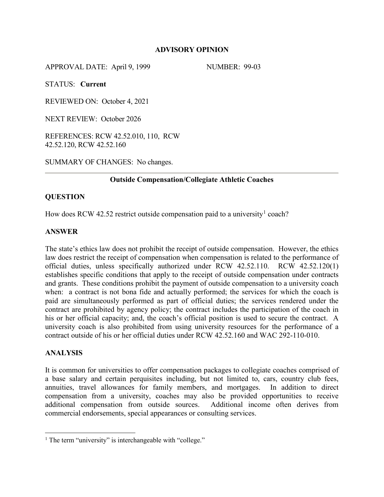#### **ADVISORY OPINION**

APPROVAL DATE: April 9, 1999 NUMBER: 99-03

STATUS: **Current**

REVIEWED ON: October 4, 2021

NEXT REVIEW: October 2026

REFERENCES: RCW 42.52.010, 110, RCW 42.52.120, RCW 42.52.160

SUMMARY OF CHANGES: No changes.

#### **Outside Compensation/Collegiate Athletic Coaches**

#### **QUESTION**

How does RCW 42.52 restrict outside compensation paid to a university<sup>[1](#page-0-0)</sup> coach?

#### **ANSWER**

The state's ethics law does not prohibit the receipt of outside compensation. However, the ethics law does restrict the receipt of compensation when compensation is related to the performance of official duties, unless specifically authorized under RCW 42.52.110. RCW 42.52.120(1) establishes specific conditions that apply to the receipt of outside compensation under contracts and grants. These conditions prohibit the payment of outside compensation to a university coach when: a contract is not bona fide and actually performed; the services for which the coach is paid are simultaneously performed as part of official duties; the services rendered under the contract are prohibited by agency policy; the contract includes the participation of the coach in his or her official capacity; and, the coach's official position is used to secure the contract. A university coach is also prohibited from using university resources for the performance of a contract outside of his or her official duties under RCW 42.52.160 and WAC 292-110-010.

#### **ANALYSIS**

 $\overline{a}$ 

It is common for universities to offer compensation packages to collegiate coaches comprised of a base salary and certain perquisites including, but not limited to, cars, country club fees, annuities, travel allowances for family members, and mortgages. In addition to direct compensation from a university, coaches may also be provided opportunities to receive additional compensation from outside sources. Additional income often derives from commercial endorsements, special appearances or consulting services.

<span id="page-0-0"></span><sup>&</sup>lt;sup>1</sup> The term "university" is interchangeable with "college."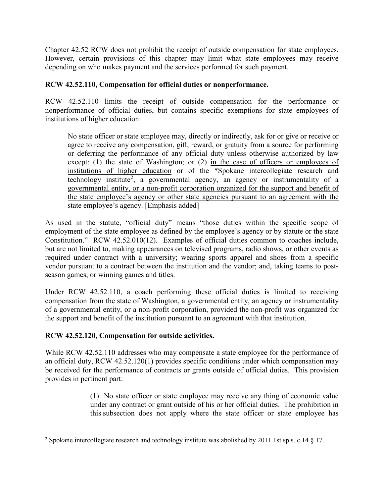Chapter 42.52 RCW does not prohibit the receipt of outside compensation for state employees. However, certain provisions of this chapter may limit what state employees may receive depending on who makes payment and the services performed for such payment.

# **RCW 42.52.110, Compensation for official duties or nonperformance.**

RCW 42.52.110 limits the receipt of outside compensation for the performance or nonperformance of official duties, but contains specific exemptions for state employees of institutions of higher education:

No state officer or state employee may, directly or indirectly, ask for or give or receive or agree to receive any compensation, gift, reward, or gratuity from a source for performing or deferring the performance of any official duty unless otherwise authorized by law except: (1) the state of Washington; or (2) in the case of officers or employees of institutions of higher education or of the \*Spokane intercollegiate research and technology institute<sup>[2](#page-1-0)</sup>, a governmental agency, an agency or instrumentality of a governmental entity, or a non-profit corporation organized for the support and benefit of the state employee's agency or other state agencies pursuant to an agreement with the state employee's agency. [Emphasis added]

As used in the statute, "official duty" means "those duties within the specific scope of employment of the state employee as defined by the employee's agency or by statute or the state Constitution." RCW 42.52.010(12). Examples of official duties common to coaches include, but are not limited to, making appearances on televised programs, radio shows, or other events as required under contract with a university; wearing sports apparel and shoes from a specific vendor pursuant to a contract between the institution and the vendor; and, taking teams to postseason games, or winning games and titles.

Under RCW 42.52.110, a coach performing these official duties is limited to receiving compensation from the state of Washington, a governmental entity, an agency or instrumentality of a governmental entity, or a non-profit corporation, provided the non-profit was organized for the support and benefit of the institution pursuant to an agreement with that institution.

## **RCW 42.52.120, Compensation for outside activities.**

While RCW 42.52.110 addresses who may compensate a state employee for the performance of an official duty, RCW 42.52.120(1) provides specific conditions under which compensation may be received for the performance of contracts or grants outside of official duties. This provision provides in pertinent part:

> (1) No state officer or state employee may receive any thing of economic value under any contract or grant outside of his or her official duties. The prohibition in this subsection does not apply where the state officer or state employee has

<span id="page-1-0"></span><sup>&</sup>lt;sup>2</sup> Spokane intercollegiate research and technology institute was abolished by 2011 1st sp.s. c 14 § 17.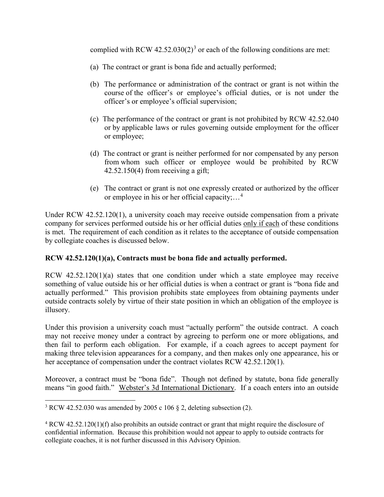complied with RCW  $42.52.030(2)^3$  $42.52.030(2)^3$  $42.52.030(2)^3$  or each of the following conditions are met:

- (a) The contract or grant is bona fide and actually performed;
- (b) The performance or administration of the contract or grant is not within the course of the officer's or employee's official duties, or is not under the officer's or employee's official supervision;
- (c) The performance of the contract or grant is not prohibited by RCW 42.52.040 or by applicable laws or rules governing outside employment for the officer or employee;
- (d) The contract or grant is neither performed for nor compensated by any person from whom such officer or employee would be prohibited by RCW  $42.52.150(4)$  from receiving a gift;
- (e) The contract or grant is not one expressly created or authorized by the officer or employee in his or her official capacity;…[4](#page-2-1)

Under RCW 42.52.120(1), a university coach may receive outside compensation from a private company for services performed outside his or her official duties only if each of these conditions is met. The requirement of each condition as it relates to the acceptance of outside compensation by collegiate coaches is discussed below.

## **RCW 42.52.120(1)(a), Contracts must be bona fide and actually performed.**

RCW 42.52.120(1)(a) states that one condition under which a state employee may receive something of value outside his or her official duties is when a contract or grant is "bona fide and actually performed." This provision prohibits state employees from obtaining payments under outside contracts solely by virtue of their state position in which an obligation of the employee is illusory.

Under this provision a university coach must "actually perform" the outside contract. A coach may not receive money under a contract by agreeing to perform one or more obligations, and then fail to perform each obligation. For example, if a coach agrees to accept payment for making three television appearances for a company, and then makes only one appearance, his or her acceptance of compensation under the contract violates RCW 42.52.120(1).

Moreover, a contract must be "bona fide". Though not defined by statute, bona fide generally means "in good faith." Webster's 3d International Dictionary. If a coach enters into an outside

<span id="page-2-0"></span> $\overline{a}$ <sup>3</sup> RCW [42.52.030](http://app.leg.wa.gov/RCW/default.aspx?cite=42.52.030) was amended by 2005 c 106  $\S$  2, deleting subsection (2).

<span id="page-2-1"></span><sup>&</sup>lt;sup>4</sup> RCW 42.52.120(1)(f) also prohibits an outside contract or grant that might require the disclosure of confidential information. Because this prohibition would not appear to apply to outside contracts for collegiate coaches, it is not further discussed in this Advisory Opinion.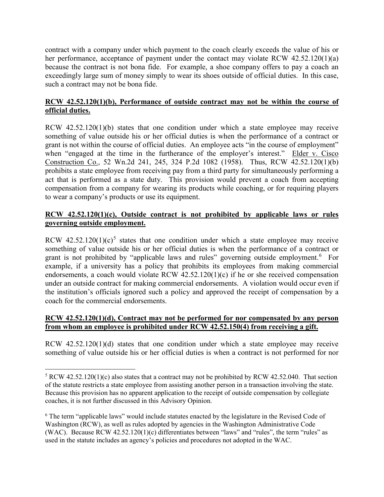contract with a company under which payment to the coach clearly exceeds the value of his or her performance, acceptance of payment under the contact may violate RCW 42.52.120(1)(a) because the contract is not bona fide. For example, a shoe company offers to pay a coach an exceedingly large sum of money simply to wear its shoes outside of official duties. In this case, such a contract may not be bona fide.

# **RCW 42.52.120(1)(b), Performance of outside contract may not be within the course of official duties.**

RCW 42.52.120(1)(b) states that one condition under which a state employee may receive something of value outside his or her official duties is when the performance of a contract or grant is not within the course of official duties. An employee acts "in the course of employment" when "engaged at the time in the furtherance of the employer's interest." Elder v. Cisco Construction Co., 52 Wn.2d 241, 245, 324 P.2d 1082 (1958). Thus, RCW 42.52.120(1)(b) prohibits a state employee from receiving pay from a third party for simultaneously performing a act that is performed as a state duty. This provision would prevent a coach from accepting compensation from a company for wearing its products while coaching, or for requiring players to wear a company's products or use its equipment.

# **RCW 42.52.120(1)(c), Outside contract is not prohibited by applicable laws or rules governing outside employment.**

RCW  $42.52.120(1)(c)^5$  $42.52.120(1)(c)^5$  $42.52.120(1)(c)^5$  states that one condition under which a state employee may receive something of value outside his or her official duties is when the performance of a contract or grant is not prohibited by "applicable laws and rules" governing outside employment.<sup>[6](#page-3-1)</sup> For example, if a university has a policy that prohibits its employees from making commercial endorsements, a coach would violate RCW 42.52.120(1)(c) if he or she received compensation under an outside contract for making commercial endorsements. A violation would occur even if the institution's officials ignored such a policy and approved the receipt of compensation by a coach for the commercial endorsements.

## **RCW 42.52.120(1)(d), Contract may not be performed for nor compensated by any person from whom an employee is prohibited under RCW 42.52.150(4) from receiving a gift.**

RCW 42.52.120(1)(d) states that one condition under which a state employee may receive something of value outside his or her official duties is when a contract is not performed for nor

 $\overline{a}$ 

<span id="page-3-0"></span> $5$  RCW 42.52.120(1)(c) also states that a contract may not be prohibited by RCW 42.52.040. That section of the statute restricts a state employee from assisting another person in a transaction involving the state. Because this provision has no apparent application to the receipt of outside compensation by collegiate coaches, it is not further discussed in this Advisory Opinion.

<span id="page-3-1"></span><sup>6</sup> The term "applicable laws" would include statutes enacted by the legislature in the Revised Code of Washington (RCW), as well as rules adopted by agencies in the Washington Administrative Code (WAC). Because RCW 42.52.120(1)(c) differentiates between "laws" and "rules", the term "rules" as used in the statute includes an agency's policies and procedures not adopted in the WAC.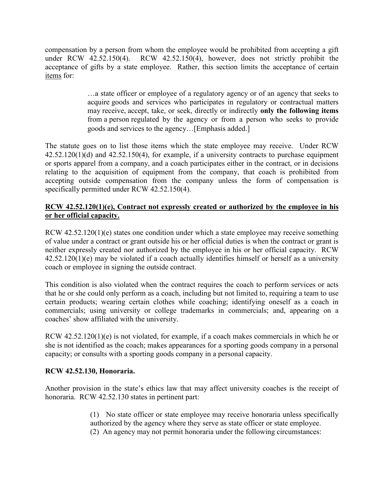compensation by a person from whom the employee would be prohibited from accepting a gift under RCW 42.52.150(4). RCW 42.52.150(4), however, does not strictly prohibit the acceptance of gifts by a state employee. Rather, this section limits the acceptance of certain items for:

> …a state officer or employee of a regulatory agency or of an agency that seeks to acquire goods and services who participates in regulatory or contractual matters may receive, accept, take, or seek, directly or indirectly **only the following items** from a person regulated by the agency or from a person who seeks to provide goods and services to the agency…[Emphasis added.]

The statute goes on to list those items which the state employee may receive. Under RCW  $42.52.120(1)(d)$  and  $42.52.150(4)$ , for example, if a university contracts to purchase equipment or sports apparel from a company, and a coach participates either in the contract, or in decisions relating to the acquisition of equipment from the company, that coach is prohibited from accepting outside compensation from the company unless the form of compensation is specifically permitted under RCW 42.52.150(4).

## **RCW 42.52.120(1)(e), Contract not expressly created or authorized by the employee in his or her official capacity.**

RCW 42.52.120(1)(e) states one condition under which a state employee may receive something of value under a contract or grant outside his or her official duties is when the contract or grant is neither expressly created nor authorized by the employee in his or her official capacity. RCW 42.52.120(1)(e) may be violated if a coach actually identifies himself or herself as a university coach or employee in signing the outside contract.

This condition is also violated when the contract requires the coach to perform services or acts that he or she could only perform as a coach, including but not limited to, requiring a team to use certain products; wearing certain clothes while coaching; identifying oneself as a coach in commercials; using university or college trademarks in commercials; and, appearing on a coaches' show affiliated with the university.

RCW 42.52.120(1)(e) is not violated, for example, if a coach makes commercials in which he or she is not identified as the coach; makes appearances for a sporting goods company in a personal capacity; or consults with a sporting goods company in a personal capacity.

## **RCW 42.52.130, Honoraria.**

Another provision in the state's ethics law that may affect university coaches is the receipt of honoraria. RCW 42.52.130 states in pertinent part:

> (1) No state officer or state employee may receive honoraria unless specifically authorized by the agency where they serve as state officer or state employee. (2) An agency may not permit honoraria under the following circumstances: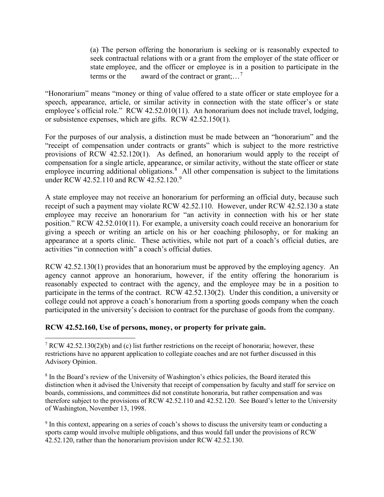(a) The person offering the honorarium is seeking or is reasonably expected to seek contractual relations with or a grant from the employer of the state officer or state employee, and the officer or employee is in a position to participate in the terms or the award of the contract or grant;...<sup>[7](#page-5-0)</sup>

"Honorarium" means "money or thing of value offered to a state officer or state employee for a speech, appearance, article, or similar activity in connection with the state officer's or state employee's official role." RCW 42.52.010(11). An honorarium does not include travel, lodging, or subsistence expenses, which are gifts. RCW 42.52.150(1).

For the purposes of our analysis, a distinction must be made between an "honorarium" and the "receipt of compensation under contracts or grants" which is subject to the more restrictive provisions of RCW 42.52.120(1). As defined, an honorarium would apply to the receipt of compensation for a single article, appearance, or similar activity, without the state officer or state employee incurring additional obligations.<sup>[8](#page-5-1)</sup> All other compensation is subject to the limitations under RCW 42.52.110 and RCW 42.52.120.<sup>[9](#page-5-2)</sup>

A state employee may not receive an honorarium for performing an official duty, because such receipt of such a payment may violate RCW 42.52.110. However, under RCW 42.52.130 a state employee may receive an honorarium for "an activity in connection with his or her state position." RCW 42.52.010(11). For example, a university coach could receive an honorarium for giving a speech or writing an article on his or her coaching philosophy, or for making an appearance at a sports clinic. These activities, while not part of a coach's official duties, are activities "in connection with" a coach's official duties.

RCW 42.52.130(1) provides that an honorarium must be approved by the employing agency. An agency cannot approve an honorarium, however, if the entity offering the honorarium is reasonably expected to contract with the agency, and the employee may be in a position to participate in the terms of the contract. RCW 42.52.130(2). Under this condition, a university or college could not approve a coach's honorarium from a sporting goods company when the coach participated in the university's decision to contract for the purchase of goods from the company.

## **RCW 42.52.160, Use of persons, money, or property for private gain.**

<span id="page-5-0"></span> $7 RCW 42.52.130(2)(b)$  and (c) list further restrictions on the receipt of honoraria; however, these restrictions have no apparent application to collegiate coaches and are not further discussed in this Advisory Opinion.

<span id="page-5-1"></span><sup>8</sup> In the Board's review of the University of Washington's ethics policies, the Board iterated this distinction when it advised the University that receipt of compensation by faculty and staff for service on boards, commissions, and committees did not constitute honoraria, but rather compensation and was therefore subject to the provisions of RCW 42.52.110 and 42.52.120. See Board's letter to the University of Washington, November 13, 1998.

<span id="page-5-2"></span><sup>&</sup>lt;sup>9</sup> In this context, appearing on a series of coach's shows to discuss the university team or conducting a sports camp would involve multiple obligations, and thus would fall under the provisions of RCW 42.52.120, rather than the honorarium provision under RCW 42.52.130.